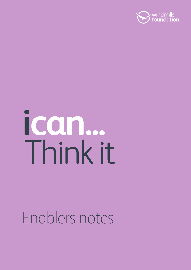

# ican... Thinkit

# Enablers notes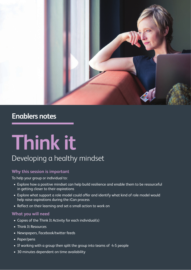

### **Enablers notes**

## **Think it** Developing a healthy mindset

#### **Why this session is important**

To help your group or individual to:

- Explore how a positive mindset can help build resilience and enable them to be resourceful in getting closer to their aspirations
- Explore what support a role model could offer and identify what kind of role model would help raise aspirations during the iCan process
- Reflect on their learning and set a small action to work on

#### **What you will need**

- Copies of the Think It Activity for each individual(s)
- Think It Resources
- Newspapers, Facebook/twitter feeds
- Paper/pens
- If working with a group then split the group into teams of 4-5 people
- 30 minutes dependent on time availability